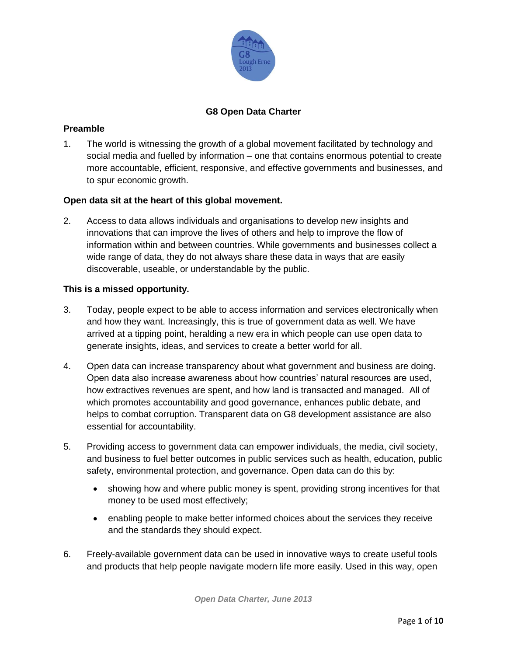

# **G8 Open Data Charter**

### **Preamble**

1. The world is witnessing the growth of a global movement facilitated by technology and social media and fuelled by information – one that contains enormous potential to create more accountable, efficient, responsive, and effective governments and businesses, and to spur economic growth.

## **Open data sit at the heart of this global movement.**

2. Access to data allows individuals and organisations to develop new insights and innovations that can improve the lives of others and help to improve the flow of information within and between countries. While governments and businesses collect a wide range of data, they do not always share these data in ways that are easily discoverable, useable, or understandable by the public.

### **This is a missed opportunity.**

- 3. Today, people expect to be able to access information and services electronically when and how they want. Increasingly, this is true of government data as well. We have arrived at a tipping point, heralding a new era in which people can use open data to generate insights, ideas, and services to create a better world for all.
- 4. Open data can increase transparency about what government and business are doing. Open data also increase awareness about how countries' natural resources are used, how extractives revenues are spent, and how land is transacted and managed. All of which promotes accountability and good governance, enhances public debate, and helps to combat corruption. Transparent data on G8 development assistance are also essential for accountability.
- 5. Providing access to government data can empower individuals, the media, civil society, and business to fuel better outcomes in public services such as health, education, public safety, environmental protection, and governance. Open data can do this by:
	- showing how and where public money is spent, providing strong incentives for that money to be used most effectively;
	- enabling people to make better informed choices about the services they receive and the standards they should expect.
- 6. Freely-available government data can be used in innovative ways to create useful tools and products that help people navigate modern life more easily. Used in this way, open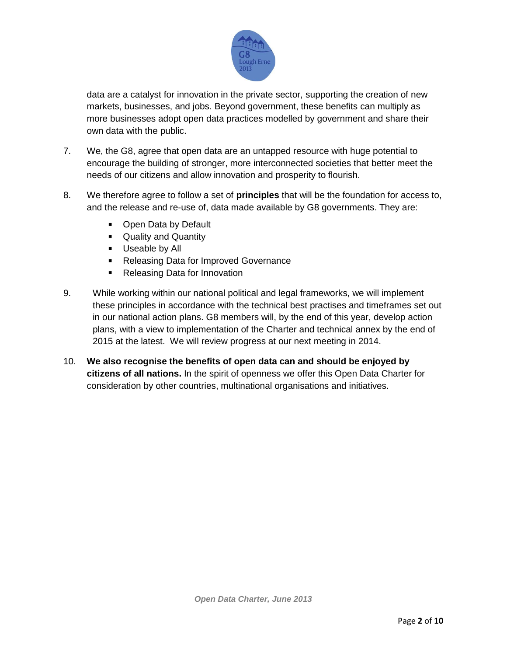

data are a catalyst for innovation in the private sector, supporting the creation of new markets, businesses, and jobs. Beyond government, these benefits can multiply as more businesses adopt open data practices modelled by government and share their own data with the public.

- 7. We, the G8, agree that open data are an untapped resource with huge potential to encourage the building of stronger, more interconnected societies that better meet the needs of our citizens and allow innovation and prosperity to flourish.
- 8. We therefore agree to follow a set of **principles** that will be the foundation for access to, and the release and re-use of, data made available by G8 governments. They are:
	- Open Data by Default
	- **Quality and Quantity**
	- **Useable by All**
	- Releasing Data for Improved Governance
	- Releasing Data for Innovation
- 9. While working within our national political and legal frameworks, we will implement these principles in accordance with the technical best practises and timeframes set out in our national action plans. G8 members will, by the end of this year, develop action plans, with a view to implementation of the Charter and technical annex by the end of 2015 at the latest. We will review progress at our next meeting in 2014.
- 10. **We also recognise the benefits of open data can and should be enjoyed by citizens of all nations.** In the spirit of openness we offer this Open Data Charter for consideration by other countries, multinational organisations and initiatives.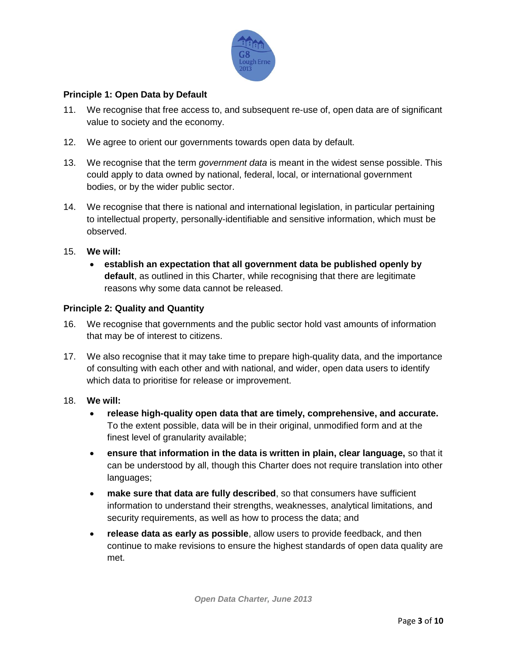

## **Principle 1: Open Data by Default**

- 11. We recognise that free access to, and subsequent re-use of, open data are of significant value to society and the economy.
- 12. We agree to orient our governments towards open data by default.
- 13. We recognise that the term *government data* is meant in the widest sense possible. This could apply to data owned by national, federal, local, or international government bodies, or by the wider public sector.
- 14. We recognise that there is national and international legislation, in particular pertaining to intellectual property, personally-identifiable and sensitive information, which must be observed.
- 15. **We will:**
	- **establish an expectation that all government data be published openly by default**, as outlined in this Charter, while recognising that there are legitimate reasons why some data cannot be released.

#### **Principle 2: Quality and Quantity**

- 16. We recognise that governments and the public sector hold vast amounts of information that may be of interest to citizens.
- 17. We also recognise that it may take time to prepare high-quality data, and the importance of consulting with each other and with national, and wider, open data users to identify which data to prioritise for release or improvement.
- 18. **We will:**
	- **release high-quality open data that are timely, comprehensive, and accurate.** To the extent possible, data will be in their original, unmodified form and at the finest level of granularity available;
	- **ensure that information in the data is written in plain, clear language,** so that it can be understood by all, though this Charter does not require translation into other languages;
	- **make sure that data are fully described**, so that consumers have sufficient information to understand their strengths, weaknesses, analytical limitations, and security requirements, as well as how to process the data; and
	- **release data as early as possible**, allow users to provide feedback, and then continue to make revisions to ensure the highest standards of open data quality are met.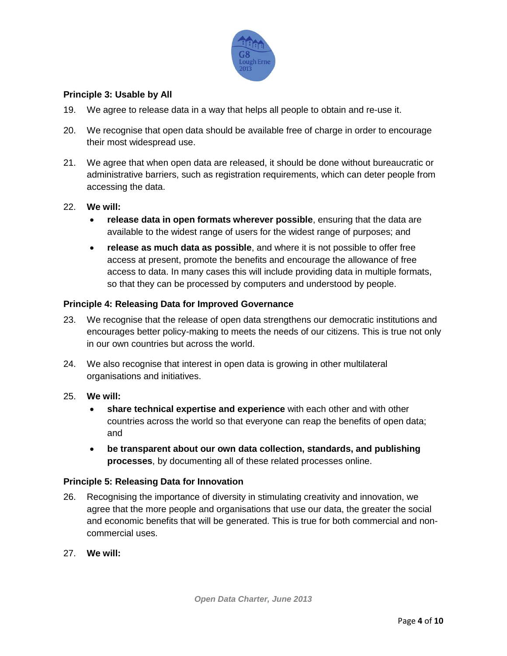

## **Principle 3: Usable by All**

- 19. We agree to release data in a way that helps all people to obtain and re-use it.
- 20. We recognise that open data should be available free of charge in order to encourage their most widespread use.
- 21. We agree that when open data are released, it should be done without bureaucratic or administrative barriers, such as registration requirements, which can deter people from accessing the data.

#### 22. **We will:**

- **release data in open formats wherever possible**, ensuring that the data are available to the widest range of users for the widest range of purposes; and
- **release as much data as possible**, and where it is not possible to offer free access at present, promote the benefits and encourage the allowance of free access to data. In many cases this will include providing data in multiple formats, so that they can be processed by computers and understood by people.

### **Principle 4: Releasing Data for Improved Governance**

- 23. We recognise that the release of open data strengthens our democratic institutions and encourages better policy-making to meets the needs of our citizens. This is true not only in our own countries but across the world.
- 24. We also recognise that interest in open data is growing in other multilateral organisations and initiatives.

### 25. **We will:**

- **share technical expertise and experience** with each other and with other countries across the world so that everyone can reap the benefits of open data; and
- **be transparent about our own data collection, standards, and publishing processes**, by documenting all of these related processes online.

### **Principle 5: Releasing Data for Innovation**

- 26. Recognising the importance of diversity in stimulating creativity and innovation, we agree that the more people and organisations that use our data, the greater the social and economic benefits that will be generated. This is true for both commercial and noncommercial uses.
- 27. **We will:**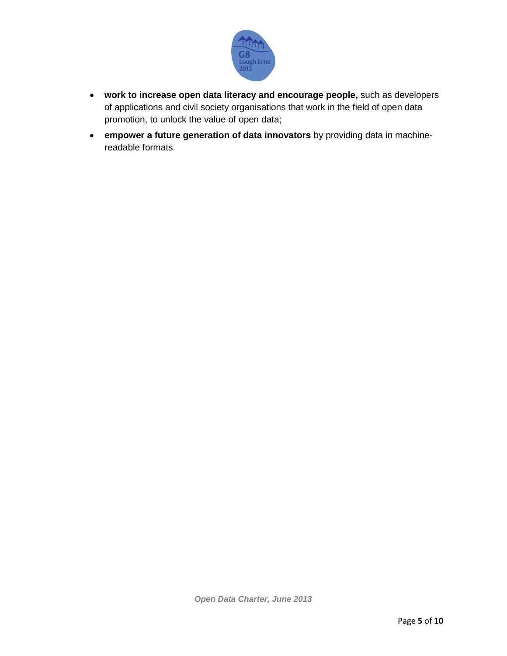

- **work to increase open data literacy and encourage people,** such as developers of applications and civil society organisations that work in the field of open data promotion, to unlock the value of open data;
- **empower a future generation of data innovators** by providing data in machinereadable formats.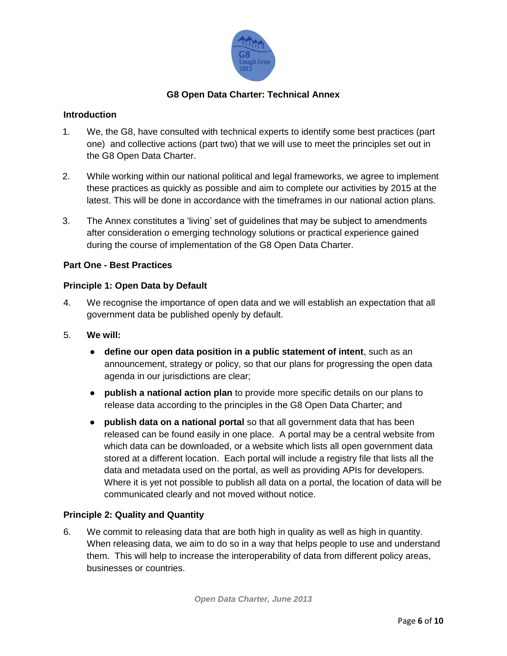

# **G8 Open Data Charter: Technical Annex**

### **Introduction**

- 1. We, the G8, have consulted with technical experts to identify some best practices (part one) and collective actions (part two) that we will use to meet the principles set out in the G8 Open Data Charter.
- 2. While working within our national political and legal frameworks, we agree to implement these practices as quickly as possible and aim to complete our activities by 2015 at the latest. This will be done in accordance with the timeframes in our national action plans.
- 3. The Annex constitutes a 'living' set of guidelines that may be subject to amendments after consideration o emerging technology solutions or practical experience gained during the course of implementation of the G8 Open Data Charter.

### **Part One - Best Practices**

### **Principle 1: Open Data by Default**

- 4. We recognise the importance of open data and we will establish an expectation that all government data be published openly by default.
- 5. **We will:**
	- **define our open data position in a public statement of intent**, such as an announcement, strategy or policy, so that our plans for progressing the open data agenda in our jurisdictions are clear;
	- **publish a national action plan** to provide more specific details on our plans to release data according to the principles in the G8 Open Data Charter; and
	- **publish data on a national portal** so that all government data that has been released can be found easily in one place. A portal may be a central website from which data can be downloaded, or a website which lists all open government data stored at a different location. Each portal will include a registry file that lists all the data and metadata used on the portal, as well as providing APIs for developers. Where it is yet not possible to publish all data on a portal, the location of data will be communicated clearly and not moved without notice.

# **Principle 2: Quality and Quantity**

6. We commit to releasing data that are both high in quality as well as high in quantity. When releasing data, we aim to do so in a way that helps people to use and understand them. This will help to increase the interoperability of data from different policy areas, businesses or countries.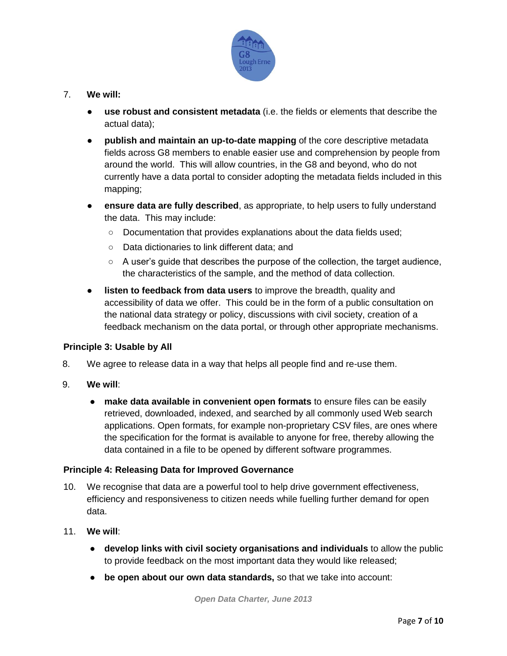

## 7. **We will:**

- **use robust and consistent metadata** (i.e. the fields or elements that describe the actual data);
- **publish and maintain an up-to-date mapping** of the core descriptive metadata fields across G8 members to enable easier use and comprehension by people from around the world. This will allow countries, in the G8 and beyond, who do not currently have a data portal to consider adopting the metadata fields included in this mapping;
- **ensure data are fully described**, as appropriate, to help users to fully understand the data. This may include:
	- Documentation that provides explanations about the data fields used;
	- Data dictionaries to link different data; and
	- $\circ$  A user's guide that describes the purpose of the collection, the target audience, the characteristics of the sample, and the method of data collection.
- **listen to feedback from data users** to improve the breadth, quality and accessibility of data we offer. This could be in the form of a public consultation on the national data strategy or policy, discussions with civil society, creation of a feedback mechanism on the data portal, or through other appropriate mechanisms.

### **Principle 3: Usable by All**

- 8. We agree to release data in a way that helps all people find and re-use them.
- 9. **We will**:
	- **make data available in convenient open formats** to ensure files can be easily retrieved, downloaded, indexed, and searched by all commonly used Web search applications. Open formats, for example non-proprietary CSV files, are ones where the specification for the format is available to anyone for free, thereby allowing the data contained in a file to be opened by different software programmes.

### **Principle 4: Releasing Data for Improved Governance**

- 10. We recognise that data are a powerful tool to help drive government effectiveness, efficiency and responsiveness to citizen needs while fuelling further demand for open data.
- 11. **We will**:
	- **develop links with civil society organisations and individuals** to allow the public to provide feedback on the most important data they would like released;
	- **be open about our own data standards,** so that we take into account: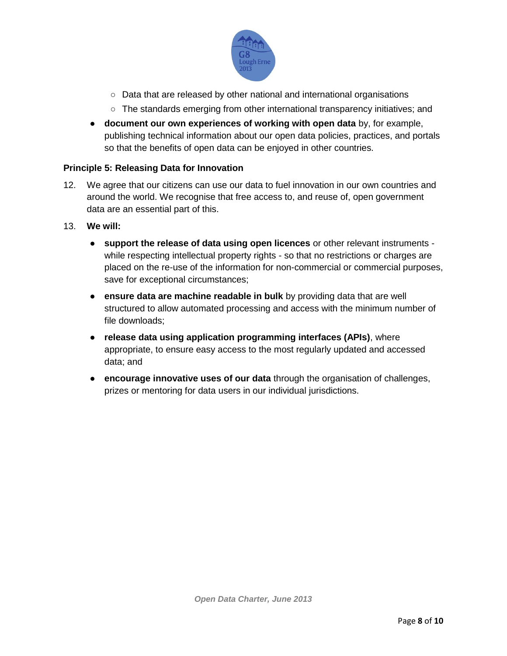

- Data that are released by other national and international organisations
- The standards emerging from other international transparency initiatives; and
- **document our own experiences of working with open data** by, for example, publishing technical information about our open data policies, practices, and portals so that the benefits of open data can be enjoyed in other countries.

#### **Principle 5: Releasing Data for Innovation**

- 12. We agree that our citizens can use our data to fuel innovation in our own countries and around the world. We recognise that free access to, and reuse of, open government data are an essential part of this.
- 13. **We will:** 
	- **support the release of data using open licences** or other relevant instruments while respecting intellectual property rights - so that no restrictions or charges are placed on the re-use of the information for non-commercial or commercial purposes, save for exceptional circumstances;
	- **ensure data are machine readable in bulk** by providing data that are well structured to allow automated processing and access with the minimum number of file downloads;
	- **release data using application programming interfaces (APIs)**, where appropriate, to ensure easy access to the most regularly updated and accessed data; and
	- **encourage innovative uses of our data** through the organisation of challenges, prizes or mentoring for data users in our individual jurisdictions.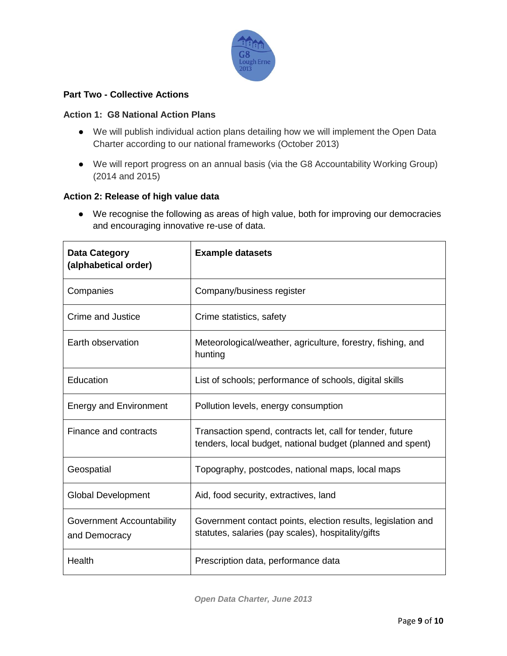

## **Part Two - Collective Actions**

### **Action 1: G8 National Action Plans**

- We will publish individual action plans detailing how we will implement the Open Data Charter according to our national frameworks (October 2013)
- We will report progress on an annual basis (via the G8 Accountability Working Group) (2014 and 2015)

#### **Action 2: Release of high value data**

● We recognise the following as areas of high value, both for improving our democracies and encouraging innovative re-use of data.

| <b>Data Category</b><br>(alphabetical order) | <b>Example datasets</b>                                                                                                 |
|----------------------------------------------|-------------------------------------------------------------------------------------------------------------------------|
| Companies                                    | Company/business register                                                                                               |
| Crime and Justice                            | Crime statistics, safety                                                                                                |
| Earth observation                            | Meteorological/weather, agriculture, forestry, fishing, and<br>hunting                                                  |
| Education                                    | List of schools; performance of schools, digital skills                                                                 |
| <b>Energy and Environment</b>                | Pollution levels, energy consumption                                                                                    |
| Finance and contracts                        | Transaction spend, contracts let, call for tender, future<br>tenders, local budget, national budget (planned and spent) |
| Geospatial                                   | Topography, postcodes, national maps, local maps                                                                        |
| <b>Global Development</b>                    | Aid, food security, extractives, land                                                                                   |
| Government Accountability<br>and Democracy   | Government contact points, election results, legislation and<br>statutes, salaries (pay scales), hospitality/gifts      |
| Health                                       | Prescription data, performance data                                                                                     |